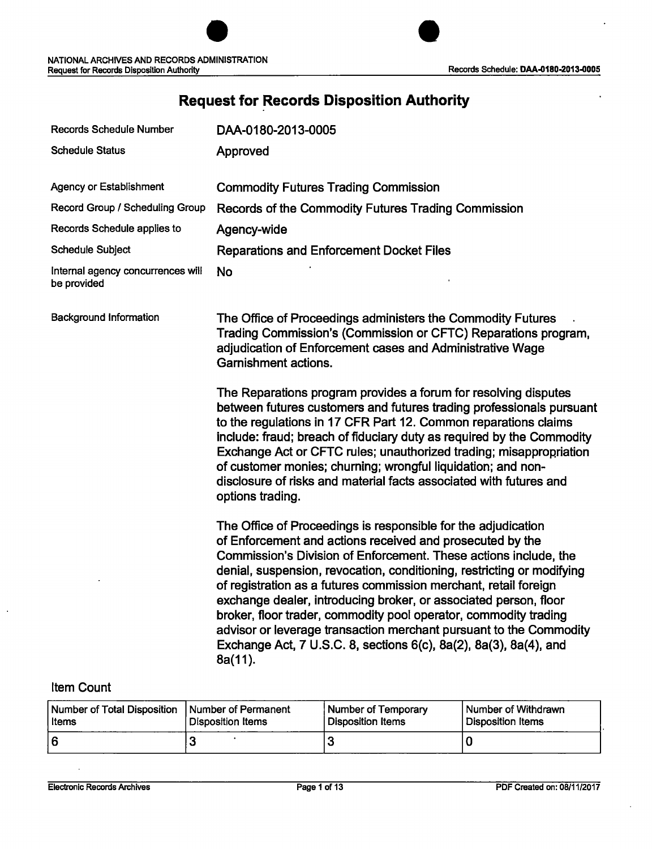| <b>Records Schedule Number</b>                   | DAA-0180-2013-0005                                                                                                                                                                                                                                                                                                                                                                                                                                                                                                                                                                                                                         |
|--------------------------------------------------|--------------------------------------------------------------------------------------------------------------------------------------------------------------------------------------------------------------------------------------------------------------------------------------------------------------------------------------------------------------------------------------------------------------------------------------------------------------------------------------------------------------------------------------------------------------------------------------------------------------------------------------------|
| <b>Schedule Status</b>                           | Approved                                                                                                                                                                                                                                                                                                                                                                                                                                                                                                                                                                                                                                   |
|                                                  |                                                                                                                                                                                                                                                                                                                                                                                                                                                                                                                                                                                                                                            |
| <b>Agency or Establishment</b>                   | <b>Commodity Futures Trading Commission</b>                                                                                                                                                                                                                                                                                                                                                                                                                                                                                                                                                                                                |
| Record Group / Scheduling Group                  | Records of the Commodity Futures Trading Commission                                                                                                                                                                                                                                                                                                                                                                                                                                                                                                                                                                                        |
| Records Schedule applies to                      | Agency-wide                                                                                                                                                                                                                                                                                                                                                                                                                                                                                                                                                                                                                                |
| <b>Schedule Subject</b>                          | <b>Reparations and Enforcement Docket Files</b>                                                                                                                                                                                                                                                                                                                                                                                                                                                                                                                                                                                            |
| Internal agency concurrences will<br>be provided | <b>No</b>                                                                                                                                                                                                                                                                                                                                                                                                                                                                                                                                                                                                                                  |
| <b>Background Information</b>                    | The Office of Proceedings administers the Commodity Futures<br>Trading Commission's (Commission or CFTC) Reparations program,<br>adjudication of Enforcement cases and Administrative Wage<br>Garnishment actions.                                                                                                                                                                                                                                                                                                                                                                                                                         |
|                                                  | The Reparations program provides a forum for resolving disputes<br>between futures customers and futures trading professionals pursuant<br>to the regulations in 17 CFR Part 12. Common reparations claims<br>include: fraud; breach of fiduciary duty as required by the Commodity<br>Exchange Act or CFTC rules; unauthorized trading; misappropriation<br>of customer monies; churning; wrongful liquidation; and non-<br>disclosure of risks and material facts associated with futures and<br>options trading.                                                                                                                        |
|                                                  | The Office of Proceedings is responsible for the adjudication<br>of Enforcement and actions received and prosecuted by the<br>Commission's Division of Enforcement. These actions include, the<br>denial, suspension, revocation, conditioning, restricting or modifying<br>of registration as a futures commission merchant, retail foreign<br>exchange dealer, introducing broker, or associated person, floor<br>broker, floor trader, commodity pool operator, commodity trading<br>advisor or leverage transaction merchant pursuant to the Commodity<br>Exchange Act, 7 U.S.C. 8, sections 6(c), 8a(2), 8a(3), 8a(4), and<br>8a(11). |
| <b>Item Count</b>                                |                                                                                                                                                                                                                                                                                                                                                                                                                                                                                                                                                                                                                                            |

## **Request for Records Disposition Authority**

| l Number of Total Disposition | I Number of Permanent | <b>Number of Temporary</b> | Number of Withdrawn |
|-------------------------------|-----------------------|----------------------------|---------------------|
| l Items                       | Disposition Items     | Disposition Items          | l Disposition Items |
|                               |                       |                            |                     |

l.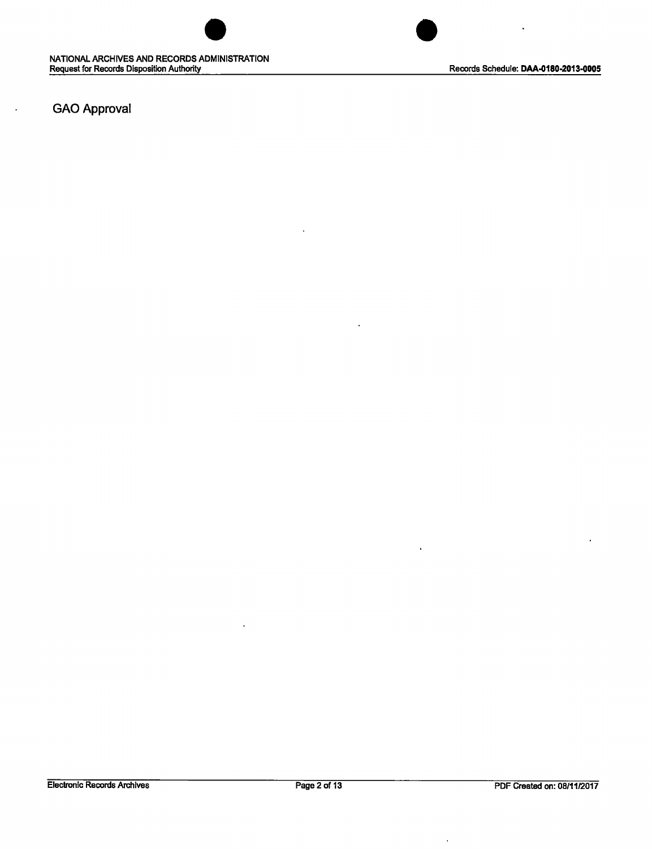NATIONAL ARCHIVES AND RECORDS ADMINISTRATION • • Request for Records Disposition Authority Records Schedule: DAA-0180-2013-0005

GAO Approval

 $\ddot{\phantom{0}}$ 

 $\overline{a}$ 

 $\ddot{\phantom{0}}$ 

 $\bar{\phantom{a}}$ 

 $\overline{a}$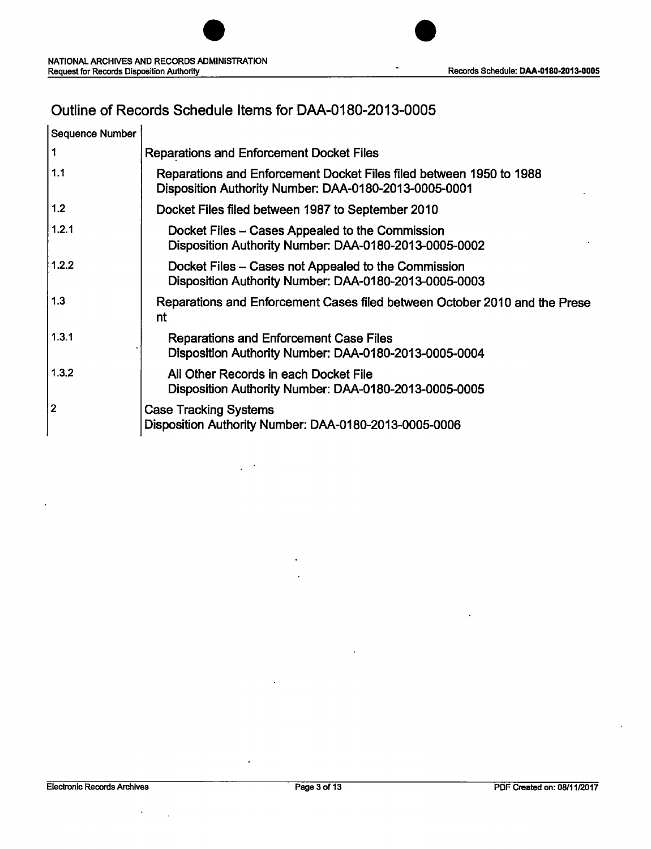## Outline of Records Schedule Items for DAA-0180-2013-0005

| Sequence Number |                                                                                                                              |
|-----------------|------------------------------------------------------------------------------------------------------------------------------|
| $\vert$ 1       | <b>Reparations and Enforcement Docket Files</b>                                                                              |
| $1.1$           | Reparations and Enforcement Docket Files filed between 1950 to 1988<br>Disposition Authority Number: DAA-0180-2013-0005-0001 |
| 1.2             | Docket Files filed between 1987 to September 2010                                                                            |
| 1.2.1           | Docket Files – Cases Appealed to the Commission<br>Disposition Authority Number: DAA-0180-2013-0005-0002                     |
| 1.2.2           | Docket Files – Cases not Appealed to the Commission<br>Disposition Authority Number: DAA-0180-2013-0005-0003                 |
| 1.3             | Reparations and Enforcement Cases filed between October 2010 and the Prese<br>nt                                             |
| 1.3.1           | <b>Reparations and Enforcement Case Files</b><br>Disposition Authority Number: DAA-0180-2013-0005-0004                       |
| 1.3.2           | All Other Records in each Docket File<br>Disposition Authority Number: DAA-0180-2013-0005-0005                               |
| l 2             | <b>Case Tracking Systems</b><br>Disposition Authority Number: DAA-0180-2013-0005-0006                                        |

 $\cdot$ 

Ÿ.

 $\overline{a}$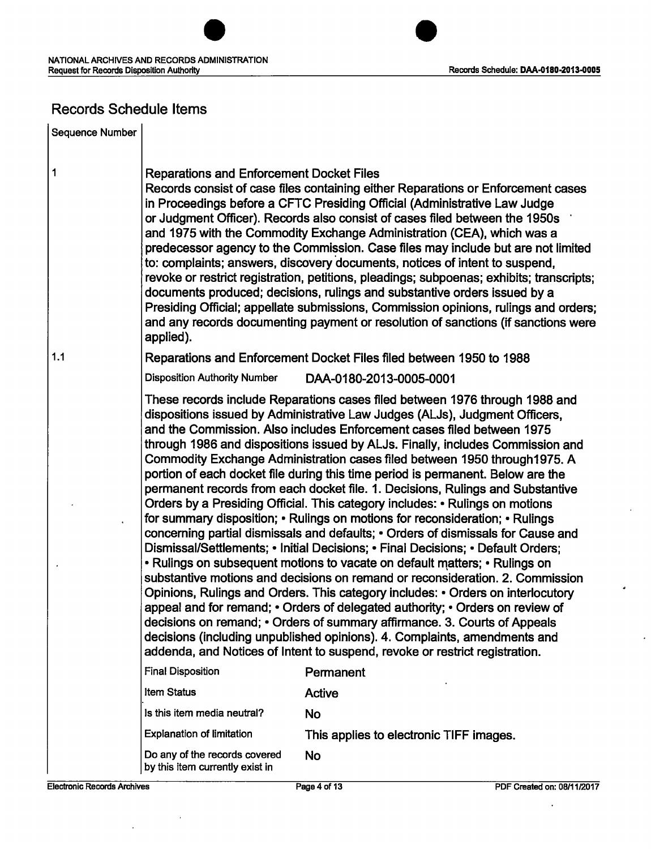

## Records Schedule Items

| <b>Sequence Number</b> |                                                                  |                                                                                                                                                                                                                                                                                                                                                                                                                                                                                                                                                                                                                                                                                                                                                                                                                                                                                                                                                                                                                                                                                                                                                                                                                                                                                                                                                                                                                                                                                               |
|------------------------|------------------------------------------------------------------|-----------------------------------------------------------------------------------------------------------------------------------------------------------------------------------------------------------------------------------------------------------------------------------------------------------------------------------------------------------------------------------------------------------------------------------------------------------------------------------------------------------------------------------------------------------------------------------------------------------------------------------------------------------------------------------------------------------------------------------------------------------------------------------------------------------------------------------------------------------------------------------------------------------------------------------------------------------------------------------------------------------------------------------------------------------------------------------------------------------------------------------------------------------------------------------------------------------------------------------------------------------------------------------------------------------------------------------------------------------------------------------------------------------------------------------------------------------------------------------------------|
| 1                      | <b>Reparations and Enforcement Docket Files</b><br>applied).     | Records consist of case files containing either Reparations or Enforcement cases<br>in Proceedings before a CFTC Presiding Official (Administrative Law Judge<br>or Judgment Officer). Records also consist of cases filed between the 1950s<br>and 1975 with the Commodity Exchange Administration (CEA), which was a<br>predecessor agency to the Commission. Case files may include but are not limited<br>to: complaints; answers, discovery documents, notices of intent to suspend,<br>revoke or restrict registration, petitions, pleadings; subpoenas; exhibits; transcripts;<br>documents produced; decisions, rulings and substantive orders issued by a<br>Presiding Official; appellate submissions, Commission opinions, rulings and orders;<br>and any records documenting payment or resolution of sanctions (if sanctions were                                                                                                                                                                                                                                                                                                                                                                                                                                                                                                                                                                                                                                                |
| 1.1                    |                                                                  | Reparations and Enforcement Docket Files filed between 1950 to 1988                                                                                                                                                                                                                                                                                                                                                                                                                                                                                                                                                                                                                                                                                                                                                                                                                                                                                                                                                                                                                                                                                                                                                                                                                                                                                                                                                                                                                           |
|                        | <b>Disposition Authority Number</b>                              | DAA-0180-2013-0005-0001                                                                                                                                                                                                                                                                                                                                                                                                                                                                                                                                                                                                                                                                                                                                                                                                                                                                                                                                                                                                                                                                                                                                                                                                                                                                                                                                                                                                                                                                       |
|                        |                                                                  | These records include Reparations cases filed between 1976 through 1988 and<br>dispositions issued by Administrative Law Judges (ALJs), Judgment Officers,<br>and the Commission. Also includes Enforcement cases filed between 1975<br>through 1986 and dispositions issued by ALJs. Finally, includes Commission and<br>Commodity Exchange Administration cases filed between 1950 through 1975. A<br>portion of each docket file during this time period is permanent. Below are the<br>permanent records from each docket file. 1. Decisions, Rulings and Substantive<br>Orders by a Presiding Official. This category includes: • Rulings on motions<br>for summary disposition; • Rulings on motions for reconsideration; • Rulings<br>concerning partial dismissals and defaults; • Orders of dismissals for Cause and<br>Dismissal/Settlements; • Initial Decisions; • Final Decisions; • Default Orders;<br>• Rulings on subsequent motions to vacate on default matters; • Rulings on<br>substantive motions and decisions on remand or reconsideration. 2. Commission<br>Opinions, Rulings and Orders. This category includes: • Orders on interlocutory<br>appeal and for remand; • Orders of delegated authority; • Orders on review of<br>decisions on remand; • Orders of summary affirmance. 3. Courts of Appeals<br>decisions (including unpublished opinions). 4. Complaints, amendments and<br>addenda, and Notices of Intent to suspend, revoke or restrict registration. |
|                        | <b>Final Disposition</b>                                         | Permanent                                                                                                                                                                                                                                                                                                                                                                                                                                                                                                                                                                                                                                                                                                                                                                                                                                                                                                                                                                                                                                                                                                                                                                                                                                                                                                                                                                                                                                                                                     |
|                        | <b>Item Status</b>                                               | <b>Active</b>                                                                                                                                                                                                                                                                                                                                                                                                                                                                                                                                                                                                                                                                                                                                                                                                                                                                                                                                                                                                                                                                                                                                                                                                                                                                                                                                                                                                                                                                                 |
|                        | Is this item media neutral?                                      | <b>No</b>                                                                                                                                                                                                                                                                                                                                                                                                                                                                                                                                                                                                                                                                                                                                                                                                                                                                                                                                                                                                                                                                                                                                                                                                                                                                                                                                                                                                                                                                                     |
|                        | <b>Explanation of limitation</b>                                 | This applies to electronic TIFF images.                                                                                                                                                                                                                                                                                                                                                                                                                                                                                                                                                                                                                                                                                                                                                                                                                                                                                                                                                                                                                                                                                                                                                                                                                                                                                                                                                                                                                                                       |
|                        | Do any of the records covered<br>by this item currently exist in | <b>No</b>                                                                                                                                                                                                                                                                                                                                                                                                                                                                                                                                                                                                                                                                                                                                                                                                                                                                                                                                                                                                                                                                                                                                                                                                                                                                                                                                                                                                                                                                                     |

 $\overline{\phantom{a}}$ 

 $\ddot{\phantom{a}}$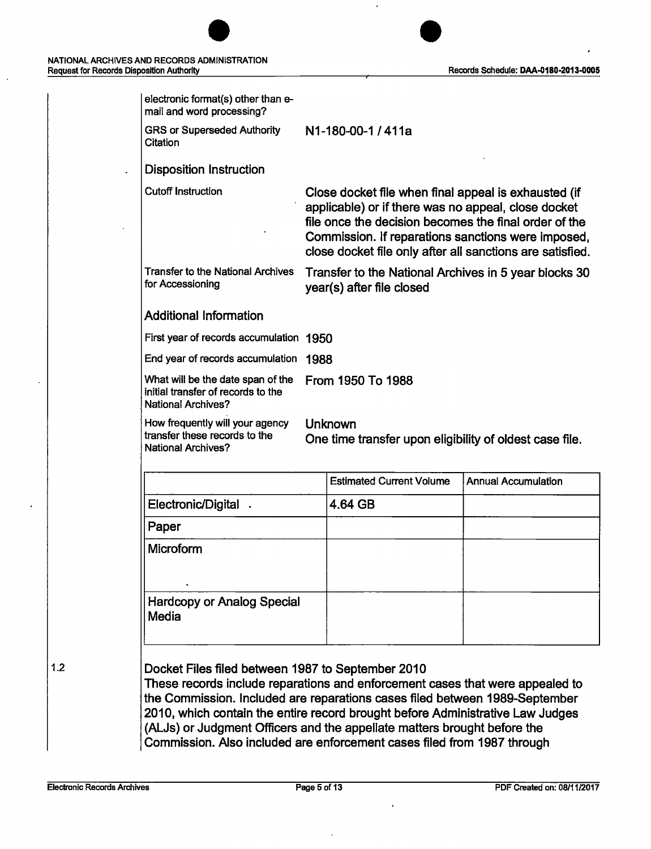l,

| mail and word processing?                                                                            |                   |                                                                                                                                                                      |                                                                                                                 |  |  |
|------------------------------------------------------------------------------------------------------|-------------------|----------------------------------------------------------------------------------------------------------------------------------------------------------------------|-----------------------------------------------------------------------------------------------------------------|--|--|
| <b>GRS or Superseded Authority</b><br>Citation                                                       |                   | N1-180-00-1/411a                                                                                                                                                     |                                                                                                                 |  |  |
| <b>Disposition Instruction</b>                                                                       |                   |                                                                                                                                                                      |                                                                                                                 |  |  |
| <b>Cutoff Instruction</b>                                                                            |                   | Close docket file when final appeal is exhausted (if<br>applicable) or if there was no appeal, close docket<br>file once the decision becomes the final order of the | Commission. If reparations sanctions were imposed,<br>close docket file only after all sanctions are satisfied. |  |  |
| <b>Transfer to the National Archives</b><br>for Accessioning                                         |                   | Transfer to the National Archives in 5 year blocks 30<br>year(s) after file closed                                                                                   |                                                                                                                 |  |  |
| <b>Additional Information</b>                                                                        |                   |                                                                                                                                                                      |                                                                                                                 |  |  |
| First year of records accumulation 1950                                                              |                   |                                                                                                                                                                      |                                                                                                                 |  |  |
| End year of records accumulation                                                                     | 1988              |                                                                                                                                                                      |                                                                                                                 |  |  |
| What will be the date span of the<br>initial transfer of records to the<br><b>National Archives?</b> | From 1950 To 1988 |                                                                                                                                                                      |                                                                                                                 |  |  |
| How frequently will your agency<br>transfer these records to the<br><b>National Archives?</b>        |                   | <b>Unknown</b><br>One time transfer upon eligibility of oldest case file.                                                                                            |                                                                                                                 |  |  |
|                                                                                                      |                   |                                                                                                                                                                      |                                                                                                                 |  |  |
|                                                                                                      |                   | <b>Estimated Current Volume</b>                                                                                                                                      | <b>Annual Accumulation</b>                                                                                      |  |  |
| Electronic/Digital                                                                                   |                   | 4.64 GB                                                                                                                                                              |                                                                                                                 |  |  |
| Paper                                                                                                |                   |                                                                                                                                                                      |                                                                                                                 |  |  |
| Microform                                                                                            |                   |                                                                                                                                                                      |                                                                                                                 |  |  |

Commission. Also included are enforcement cases filed from 1987 through

1.2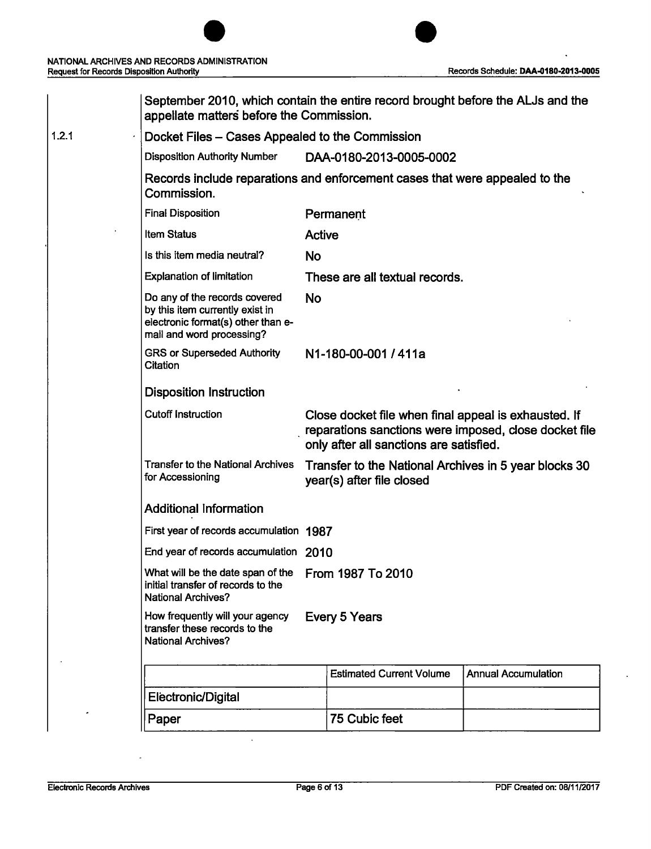$\ddot{\phantom{a}}$ 

|       | September 2010, which contain the entire record brought before the ALJs and the<br>appellate matters before the Commission.         |                                                                                                                                                          |                                                                                    |                            |
|-------|-------------------------------------------------------------------------------------------------------------------------------------|----------------------------------------------------------------------------------------------------------------------------------------------------------|------------------------------------------------------------------------------------|----------------------------|
| 1.2.1 | Docket Files - Cases Appealed to the Commission                                                                                     |                                                                                                                                                          |                                                                                    |                            |
|       | <b>Disposition Authority Number</b>                                                                                                 |                                                                                                                                                          | DAA-0180-2013-0005-0002                                                            |                            |
|       | Records include reparations and enforcement cases that were appealed to the<br>Commission.                                          |                                                                                                                                                          |                                                                                    |                            |
|       | <b>Final Disposition</b>                                                                                                            |                                                                                                                                                          | Permanent                                                                          |                            |
|       | <b>Item Status</b>                                                                                                                  | Active                                                                                                                                                   |                                                                                    |                            |
|       | Is this item media neutral?                                                                                                         | <b>No</b>                                                                                                                                                |                                                                                    |                            |
|       | <b>Explanation of limitation</b>                                                                                                    |                                                                                                                                                          | These are all textual records.                                                     |                            |
|       | Do any of the records covered<br>by this item currently exist in<br>electronic format(s) other than e-<br>mail and word processing? | No                                                                                                                                                       |                                                                                    |                            |
|       | <b>GRS or Superseded Authority</b><br>Citation                                                                                      |                                                                                                                                                          | N1-180-00-001 / 411a                                                               |                            |
|       | <b>Disposition Instruction</b>                                                                                                      |                                                                                                                                                          |                                                                                    |                            |
|       | <b>Cutoff Instruction</b>                                                                                                           | Close docket file when final appeal is exhausted. If<br>reparations sanctions were imposed, close docket file<br>only after all sanctions are satisfied. |                                                                                    |                            |
|       | <b>Transfer to the National Archives</b><br>for Accessioning                                                                        |                                                                                                                                                          | Transfer to the National Archives in 5 year blocks 30<br>year(s) after file closed |                            |
|       | <b>Additional Information</b>                                                                                                       |                                                                                                                                                          |                                                                                    |                            |
|       | First year of records accumulation 1987                                                                                             |                                                                                                                                                          |                                                                                    |                            |
|       | End year of records accumulation 2010                                                                                               |                                                                                                                                                          |                                                                                    |                            |
|       | What will be the date span of the<br>From 1987 To 2010<br>initial transfer of records to the<br><b>National Archives?</b>           |                                                                                                                                                          |                                                                                    |                            |
|       | How frequently will your agency<br>transfer these records to the<br><b>National Archives?</b>                                       |                                                                                                                                                          | <b>Every 5 Years</b>                                                               |                            |
|       |                                                                                                                                     |                                                                                                                                                          | <b>Estimated Current Volume</b>                                                    | <b>Annual Accumulation</b> |
|       | Electronic/Digital                                                                                                                  |                                                                                                                                                          |                                                                                    |                            |
|       | Paper                                                                                                                               |                                                                                                                                                          | 75 Cubic feet                                                                      |                            |

 $\bar{z}$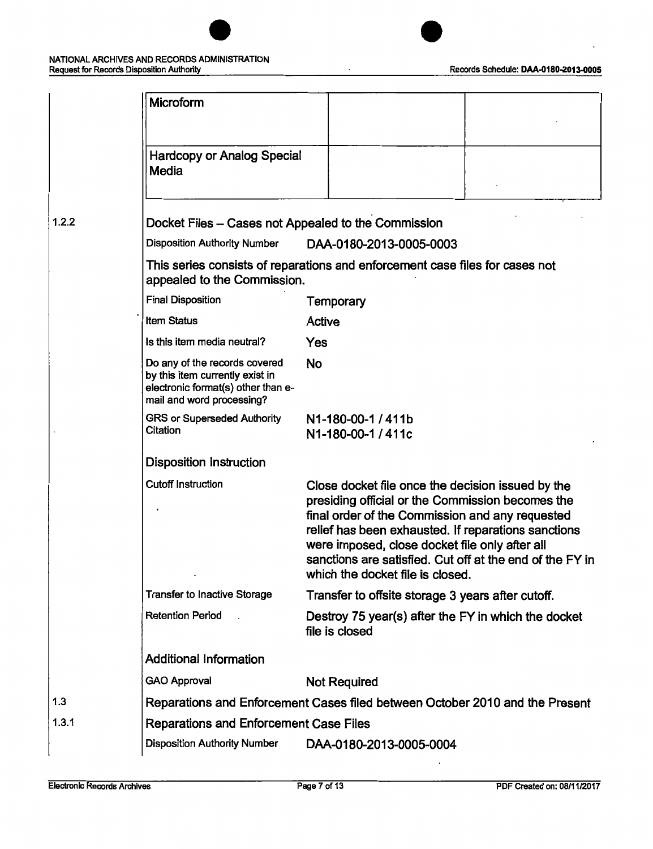## EXECUTIVE TRATION NATIONAL ARCHIVES AND RECORDS ADMINISTRATION Request for Records Disposition Authority Records Schedule: DAA-0180-2013-0005

|       | Microform                                                                                                                           |                                                                                                                                                                                                                                                                                                                                                                   |
|-------|-------------------------------------------------------------------------------------------------------------------------------------|-------------------------------------------------------------------------------------------------------------------------------------------------------------------------------------------------------------------------------------------------------------------------------------------------------------------------------------------------------------------|
|       | <b>Hardcopy or Analog Special</b><br>Media                                                                                          |                                                                                                                                                                                                                                                                                                                                                                   |
| 1.2.2 | Docket Files - Cases not Appealed to the Commission                                                                                 |                                                                                                                                                                                                                                                                                                                                                                   |
|       | <b>Disposition Authority Number</b>                                                                                                 | DAA-0180-2013-0005-0003                                                                                                                                                                                                                                                                                                                                           |
|       | appealed to the Commission.                                                                                                         | This series consists of reparations and enforcement case files for cases not                                                                                                                                                                                                                                                                                      |
|       | <b>Final Disposition</b>                                                                                                            | <b>Temporary</b>                                                                                                                                                                                                                                                                                                                                                  |
|       | <b>Item Status</b>                                                                                                                  | <b>Active</b>                                                                                                                                                                                                                                                                                                                                                     |
|       | Is this item media neutral?                                                                                                         | Yes                                                                                                                                                                                                                                                                                                                                                               |
|       | Do any of the records covered<br>by this item currently exist in<br>electronic format(s) other than e-<br>mail and word processing? | No                                                                                                                                                                                                                                                                                                                                                                |
|       | <b>GRS or Superseded Authority</b><br>Citation                                                                                      | N1-180-00-1 / 411b<br>N1-180-00-1/411c                                                                                                                                                                                                                                                                                                                            |
|       | <b>Disposition Instruction</b>                                                                                                      |                                                                                                                                                                                                                                                                                                                                                                   |
|       | <b>Cutoff Instruction</b>                                                                                                           | Close docket file once the decision issued by the<br>presiding official or the Commission becomes the<br>final order of the Commission and any requested<br>relief has been exhausted. If reparations sanctions<br>were imposed, close docket file only after all<br>sanctions are satisfied. Cut off at the end of the FY in<br>which the docket file is closed. |
|       | <b>Transfer to Inactive Storage</b>                                                                                                 | Transfer to offsite storage 3 years after cutoff.                                                                                                                                                                                                                                                                                                                 |
|       | <b>Retention Period</b>                                                                                                             | Destroy 75 year(s) after the FY in which the docket<br>file is closed                                                                                                                                                                                                                                                                                             |
|       | <b>Additional Information</b>                                                                                                       |                                                                                                                                                                                                                                                                                                                                                                   |
|       | <b>GAO Approval</b>                                                                                                                 | <b>Not Required</b>                                                                                                                                                                                                                                                                                                                                               |
| 1.3   |                                                                                                                                     | Reparations and Enforcement Cases filed between October 2010 and the Present                                                                                                                                                                                                                                                                                      |
| 1.3.1 | <b>Reparations and Enforcement Case Files</b>                                                                                       |                                                                                                                                                                                                                                                                                                                                                                   |
|       | <b>Disposition Authority Number</b>                                                                                                 | DAA-0180-2013-0005-0004                                                                                                                                                                                                                                                                                                                                           |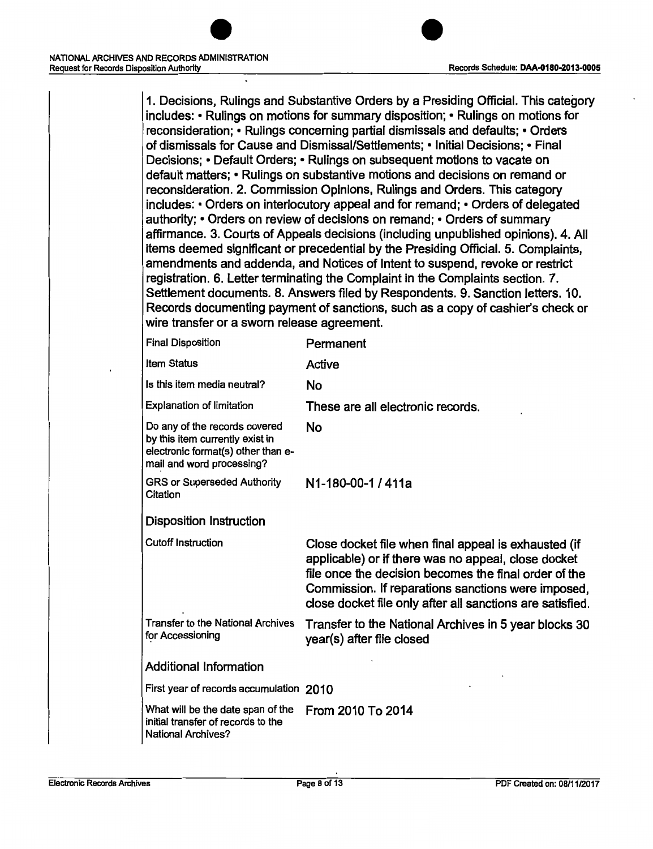1. Decisions, Rulings and Substantive Orders by a Presiding Official. This category includes:• Rulings on motions for summary disposition;• Rulings on motions for reconsideration; • Rulings concerning partial dismissals and defaults; • Orders of dismissals for Cause and Dismissal/Settlements; • Initial Decisions; • Final Decisions; • Default Orders; • Rulings on subsequent motions to vacate on default matters; • Rulings on substantive motions and decisions on remand or reconsideration. 2. Commission Opinions, Rulings and Orders. This category includes:• Orders on interlocutory appeal and for remand;• Orders of delegated authority;• Orders on review of decisions on remand;• Orders of summary affirmance. 3. Courts of Appeals decisions (including unpublished opinions). 4. All items deemed significant or precedential by the Presiding Official. 5. Complaints, amendments and addenda, and Notices of Intent to suspend, revoke or restrict registration. 6. Letter terminating the Complaint in the Complaints section. 7. Settlement documents. 8. Answers filed by Respondents. 9. Sanction letters. 10. Records documenting payment of sanctions, such as a copy of cashier's check or wire transfer or a sworn release agreement.

| <b>Final Disposition</b>                                                                                                            | Permanent                                                                                                                                                                                                                                                                               |  |  |
|-------------------------------------------------------------------------------------------------------------------------------------|-----------------------------------------------------------------------------------------------------------------------------------------------------------------------------------------------------------------------------------------------------------------------------------------|--|--|
| <b>Item Status</b>                                                                                                                  | <b>Active</b>                                                                                                                                                                                                                                                                           |  |  |
| Is this item media neutral?                                                                                                         | No                                                                                                                                                                                                                                                                                      |  |  |
| <b>Explanation of limitation</b>                                                                                                    | These are all electronic records.                                                                                                                                                                                                                                                       |  |  |
| Do any of the records covered<br>by this item currently exist in<br>electronic format(s) other than e-<br>mail and word processing? | No                                                                                                                                                                                                                                                                                      |  |  |
| <b>GRS or Superseded Authority</b><br>Citation                                                                                      | N1-180-00-1/411a                                                                                                                                                                                                                                                                        |  |  |
| <b>Disposition Instruction</b>                                                                                                      |                                                                                                                                                                                                                                                                                         |  |  |
| <b>Cutoff Instruction</b>                                                                                                           | Close docket file when final appeal is exhausted (if<br>applicable) or if there was no appeal, close docket<br>file once the decision becomes the final order of the<br>Commission. If reparations sanctions were imposed,<br>close docket file only after all sanctions are satisfied. |  |  |
| <b>Transfer to the National Archives</b><br>for Accessioning                                                                        | Transfer to the National Archives in 5 year blocks 30<br>year(s) after file closed                                                                                                                                                                                                      |  |  |
| <b>Additional Information</b>                                                                                                       |                                                                                                                                                                                                                                                                                         |  |  |
| First year of records accumulation 2010                                                                                             |                                                                                                                                                                                                                                                                                         |  |  |
| What will be the date span of the<br>initial transfer of records to the<br><b>National Archives?</b>                                | From 2010 To 2014                                                                                                                                                                                                                                                                       |  |  |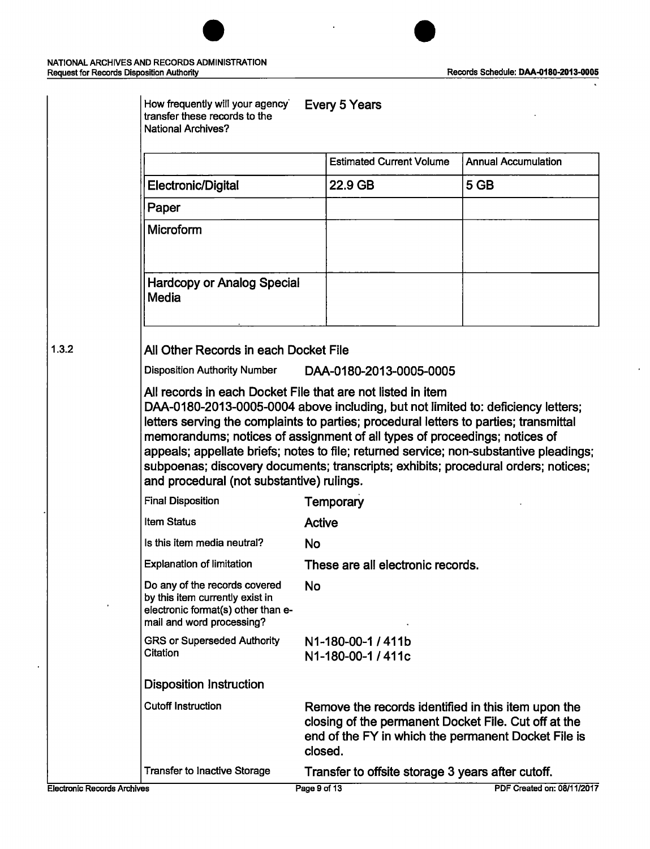

|                                    | How frequently will your agency<br>transfer these records to the<br><b>National Archives?</b>                                       | <b>Every 5 Years</b>                                                                                                                                                                                                                                                                                                                                                                                                                    |                            |  |
|------------------------------------|-------------------------------------------------------------------------------------------------------------------------------------|-----------------------------------------------------------------------------------------------------------------------------------------------------------------------------------------------------------------------------------------------------------------------------------------------------------------------------------------------------------------------------------------------------------------------------------------|----------------------------|--|
|                                    |                                                                                                                                     | <b>Estimated Current Volume</b>                                                                                                                                                                                                                                                                                                                                                                                                         | <b>Annual Accumulation</b> |  |
|                                    | Electronic/Digital                                                                                                                  | 22.9 GB                                                                                                                                                                                                                                                                                                                                                                                                                                 | 5 GB                       |  |
|                                    | Paper                                                                                                                               |                                                                                                                                                                                                                                                                                                                                                                                                                                         |                            |  |
|                                    | Microform                                                                                                                           |                                                                                                                                                                                                                                                                                                                                                                                                                                         |                            |  |
|                                    | <b>Hardcopy or Analog Special</b><br>Media                                                                                          |                                                                                                                                                                                                                                                                                                                                                                                                                                         |                            |  |
| 1.3.2                              | All Other Records in each Docket File                                                                                               |                                                                                                                                                                                                                                                                                                                                                                                                                                         |                            |  |
|                                    | <b>Disposition Authority Number</b>                                                                                                 | DAA-0180-2013-0005-0005                                                                                                                                                                                                                                                                                                                                                                                                                 |                            |  |
|                                    | All records in each Docket File that are not listed in item<br>and procedural (not substantive) rulings.                            | DAA-0180-2013-0005-0004 above including, but not limited to: deficiency letters;<br>letters serving the complaints to parties; procedural letters to parties; transmittal<br>memorandums; notices of assignment of all types of proceedings; notices of<br>appeals; appellate briefs; notes to file; returned service; non-substantive pleadings;<br>subpoenas; discovery documents; transcripts; exhibits; procedural orders; notices; |                            |  |
|                                    | <b>Final Disposition</b>                                                                                                            | <b>Temporary</b>                                                                                                                                                                                                                                                                                                                                                                                                                        |                            |  |
|                                    | <b>Item Status</b>                                                                                                                  | <b>Active</b>                                                                                                                                                                                                                                                                                                                                                                                                                           |                            |  |
|                                    | Is this item media neutral?                                                                                                         | <b>No</b>                                                                                                                                                                                                                                                                                                                                                                                                                               |                            |  |
|                                    | <b>Explanation of limitation</b>                                                                                                    | These are all electronic records.                                                                                                                                                                                                                                                                                                                                                                                                       |                            |  |
|                                    | Do any of the records covered<br>by this item currently exist in<br>electronic format(s) other than e-<br>mail and word processing? | No                                                                                                                                                                                                                                                                                                                                                                                                                                      |                            |  |
|                                    | <b>GRS or Superseded Authority</b><br>Citation                                                                                      | N1-180-00-1/411b<br>N1-180-00-1/411c                                                                                                                                                                                                                                                                                                                                                                                                    |                            |  |
|                                    | <b>Disposition Instruction</b>                                                                                                      |                                                                                                                                                                                                                                                                                                                                                                                                                                         |                            |  |
|                                    | <b>Cutoff Instruction</b>                                                                                                           | Remove the records identified in this item upon the<br>closing of the permanent Docket File. Cut off at the<br>end of the FY in which the permanent Docket File is<br>closed.                                                                                                                                                                                                                                                           |                            |  |
|                                    | <b>Transfer to Inactive Storage</b>                                                                                                 | Transfer to offsite storage 3 years after cutoff.                                                                                                                                                                                                                                                                                                                                                                                       |                            |  |
| <b>Electronic Records Archives</b> |                                                                                                                                     | Page 9 of 13                                                                                                                                                                                                                                                                                                                                                                                                                            | PDF Created on: 08/11/2017 |  |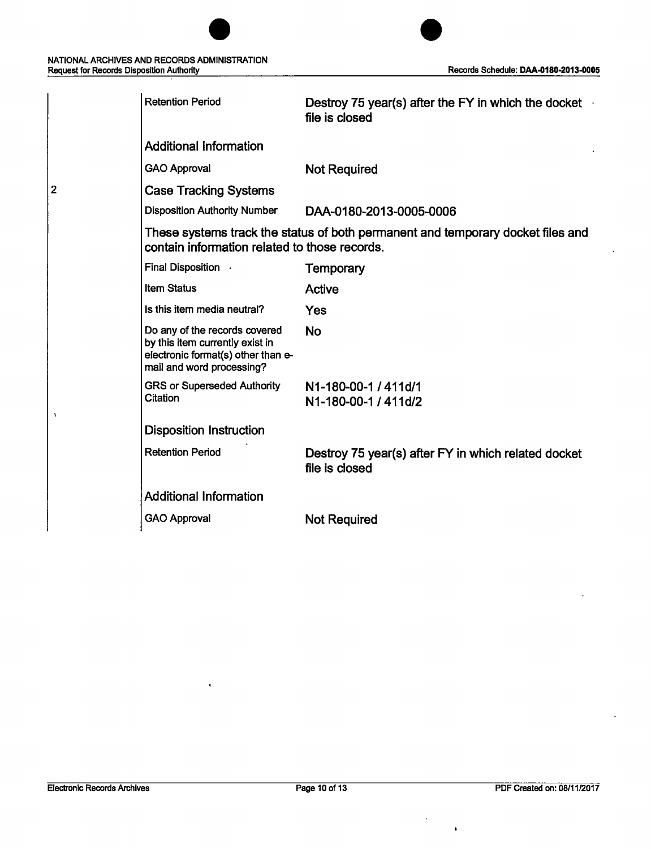2

 $\ddot{\phantom{1}}$ 



| <b>Retention Period</b>                                                                                                             | Destroy 75 year(s) after the FY in which the docket<br>file is closed           |
|-------------------------------------------------------------------------------------------------------------------------------------|---------------------------------------------------------------------------------|
| <b>Additional Information</b>                                                                                                       |                                                                                 |
| <b>GAO Approval</b>                                                                                                                 | <b>Not Required</b>                                                             |
| <b>Case Tracking Systems</b>                                                                                                        |                                                                                 |
| <b>Disposition Authority Number</b>                                                                                                 | DAA-0180-2013-0005-0006                                                         |
| contain information related to those records.                                                                                       | These systems track the status of both permanent and temporary docket files and |
| Final Disposition .                                                                                                                 | Temporary                                                                       |
| <b>Item Status</b>                                                                                                                  | <b>Active</b>                                                                   |
| Is this item media neutral?                                                                                                         | Yes                                                                             |
| Do any of the records covered<br>by this item currently exist in<br>electronic format(s) other than e-<br>mail and word processing? | <b>No</b>                                                                       |
| <b>GRS or Superseded Authority</b><br>Citation                                                                                      | N1-180-00-1 / 411d/1<br>N1-180-00-1 / 411d/2                                    |
| <b>Disposition Instruction</b>                                                                                                      |                                                                                 |
| <b>Retention Period</b>                                                                                                             | Destroy 75 year(s) after FY in which related docket<br>file is closed           |
| <b>Additional Information</b>                                                                                                       |                                                                                 |
| <b>GAO Approval</b>                                                                                                                 | <b>Not Required</b>                                                             |

 $\ddot{\phantom{0}}$ 

 $\ddot{\phantom{1}}$ 

 $\bullet$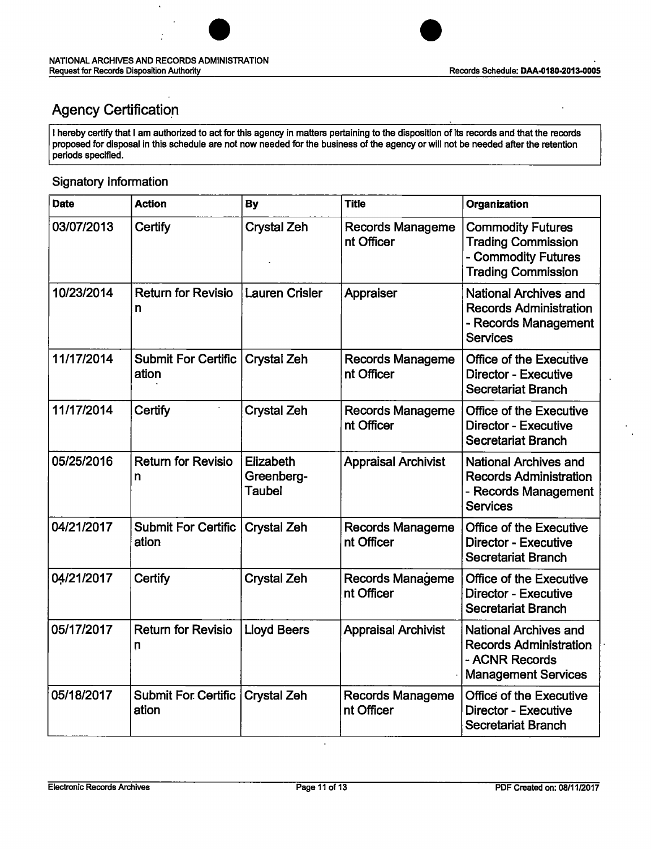

## **Agency Certification**

I hereby certify that I am authorized to act for this agency in matters pertaining to the disposition of its records and that the records proposed for disposal in this schedule are not now needed for the business of the agency or will not be needed after the retention periods specified.

#### Signatory Information

| <b>Date</b> | <b>Action</b>                       | <b>By</b>                         | <b>Title</b>                          | Organization                                                                                                  |
|-------------|-------------------------------------|-----------------------------------|---------------------------------------|---------------------------------------------------------------------------------------------------------------|
| 03/07/2013  | Certify                             | <b>Crystal Zeh</b>                | <b>Records Manageme</b><br>nt Officer | <b>Commodity Futures</b><br><b>Trading Commission</b><br>- Commodity Futures<br><b>Trading Commission</b>     |
| 10/23/2014  | <b>Return for Revisio</b><br>n      | <b>Lauren Crisler</b>             | Appraiser                             | National Archives and<br><b>Records Administration</b><br>- Records Management<br><b>Services</b>             |
| 11/17/2014  | Submit For Certific<br>ation        | Crystal Zeh                       | <b>Records Manageme</b><br>nt Officer | Office of the Executive<br><b>Director - Executive</b><br><b>Secretariat Branch</b>                           |
| 11/17/2014  | Certify                             | <b>Crystal Zeh</b>                | <b>Records Manageme</b><br>nt Officer | Office of the Executive<br><b>Director - Executive</b><br><b>Secretariat Branch</b>                           |
| 05/25/2016  | <b>Return for Revisio</b><br>n      | Elizabeth<br>Greenberg-<br>Taubel | <b>Appraisal Archivist</b>            | National Archives and<br><b>Records Administration</b><br>- Records Management<br><b>Services</b>             |
| 04/21/2017  | <b>Submit For Certific</b><br>ation | <b>Crystal Zeh</b>                | <b>Records Manageme</b><br>nt Officer | Office of the Executive<br><b>Director - Executive</b><br><b>Secretariat Branch</b>                           |
| 04/21/2017  | Certify                             | <b>Crystal Zeh</b>                | <b>Records Manageme</b><br>nt Officer | Office of the Executive<br>Director - Executive<br><b>Secretariat Branch</b>                                  |
| 05/17/2017  | <b>Return for Revisio</b><br>n      | <b>Lloyd Beers</b>                | <b>Appraisal Archivist</b>            | <b>National Archives and</b><br><b>Records Administration</b><br>- ACNR Records<br><b>Management Services</b> |
| 05/18/2017  | <b>Submit For Certific</b><br>ation | <b>Crystal Zeh</b>                | <b>Records Manageme</b><br>nt Officer | Office of the Executive<br><b>Director - Executive</b><br><b>Secretariat Branch</b>                           |

l,